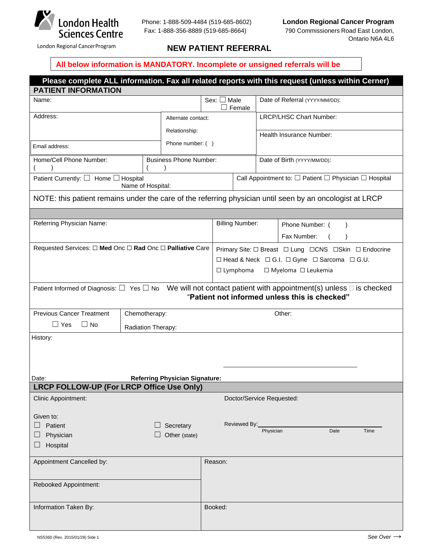

## London Regional Cancer Program **NEW PATIENT REFERRAL**

## **All below information is MANDATORY. Incomplete or unsigned referrals will be**

|                                                                                                          |                               |                                      |                                                                               | Please complete ALL information. Fax all related reports with this request (unless within Cerner)                            |  |
|----------------------------------------------------------------------------------------------------------|-------------------------------|--------------------------------------|-------------------------------------------------------------------------------|------------------------------------------------------------------------------------------------------------------------------|--|
| <b>PATIENT INFORMATION</b>                                                                               |                               |                                      |                                                                               |                                                                                                                              |  |
| Name:                                                                                                    |                               | Sex: $\Box$ Male<br>Female<br>$\Box$ |                                                                               | Date of Referral (YYYY/MM/DD):                                                                                               |  |
| Address:                                                                                                 | Alternate contact:            |                                      |                                                                               | LRCP/LHSC Chart Number:                                                                                                      |  |
| Relationship:                                                                                            |                               |                                      |                                                                               | Health Insurance Number:                                                                                                     |  |
| Phone number: ()<br>Email address:                                                                       |                               |                                      |                                                                               |                                                                                                                              |  |
| Home/Cell Phone Number:                                                                                  | <b>Business Phone Number:</b> |                                      |                                                                               | Date of Birth (YYYY/MM/DD):                                                                                                  |  |
| Patient Currently: $\Box$ Home $\Box$ Hospital<br>Name of Hospital:                                      |                               |                                      | Call Appointment to: $\square$ Patient $\square$ Physician $\square$ Hospital |                                                                                                                              |  |
| NOTE: this patient remains under the care of the referring physician until seen by an oncologist at LRCP |                               |                                      |                                                                               |                                                                                                                              |  |
|                                                                                                          |                               |                                      |                                                                               |                                                                                                                              |  |
| Referring Physician Name:                                                                                |                               |                                      | <b>Billing Number:</b><br>Phone Number: (                                     |                                                                                                                              |  |
|                                                                                                          |                               |                                      | Fax Number:                                                                   |                                                                                                                              |  |
| Requested Services: $\Box$ Med Onc $\Box$ Rad Onc $\Box$ Palliative Care                                 |                               |                                      | Primary Site: □ Breast □ Lung □ CNS □ Skin □ Endocrine                        |                                                                                                                              |  |
|                                                                                                          |                               |                                      | □ Head & Neck □ G.I. □ Gyne □ Sarcoma □ G.U.                                  |                                                                                                                              |  |
|                                                                                                          |                               | $\Box$ Lymphoma                      |                                                                               | □ Myeloma □ Leukemia                                                                                                         |  |
|                                                                                                          |                               |                                      |                                                                               | Patient Informed of Diagnosis: $\Box$ Yes $\Box$ No We will not contact patient with appointment(s) unless $\Box$ is checked |  |
|                                                                                                          |                               |                                      |                                                                               | "Patient not informed unless this is checked"                                                                                |  |
| <b>Previous Cancer Treatment</b>                                                                         | Chemotherapy:                 |                                      |                                                                               | Other:                                                                                                                       |  |
| $\Box$ Yes<br>$\Box$ No                                                                                  | Radiation Therapy:            |                                      |                                                                               |                                                                                                                              |  |
| History:                                                                                                 |                               |                                      |                                                                               |                                                                                                                              |  |
|                                                                                                          |                               |                                      |                                                                               |                                                                                                                              |  |
|                                                                                                          |                               |                                      |                                                                               |                                                                                                                              |  |
| Date:<br><b>Referring Physician Signature:</b>                                                           |                               |                                      |                                                                               |                                                                                                                              |  |
| LRCP FOLLOW-UP (For LRCP Office Use Only)                                                                |                               |                                      |                                                                               |                                                                                                                              |  |
| Clinic Appointment:                                                                                      |                               |                                      | Doctor/Service Requested:                                                     |                                                                                                                              |  |
| Given to:                                                                                                |                               |                                      |                                                                               |                                                                                                                              |  |
| Patient                                                                                                  | Secretary                     |                                      | Reviewed By:                                                                  |                                                                                                                              |  |
| Physician                                                                                                | Other (state)                 |                                      | Physician                                                                     | Date<br>Time                                                                                                                 |  |
| Hospital                                                                                                 |                               |                                      |                                                                               |                                                                                                                              |  |
| Appointment Cancelled by:                                                                                |                               | Reason:                              |                                                                               |                                                                                                                              |  |
|                                                                                                          |                               |                                      |                                                                               |                                                                                                                              |  |
| Rebooked Appointment:                                                                                    |                               |                                      |                                                                               |                                                                                                                              |  |
|                                                                                                          |                               |                                      |                                                                               |                                                                                                                              |  |
| Information Taken By:                                                                                    |                               | Booked:                              |                                                                               |                                                                                                                              |  |
|                                                                                                          |                               |                                      |                                                                               |                                                                                                                              |  |
| NS5360 (Rev. 2015/01/28) Side 1                                                                          |                               |                                      |                                                                               | See Over $\rightarrow$                                                                                                       |  |